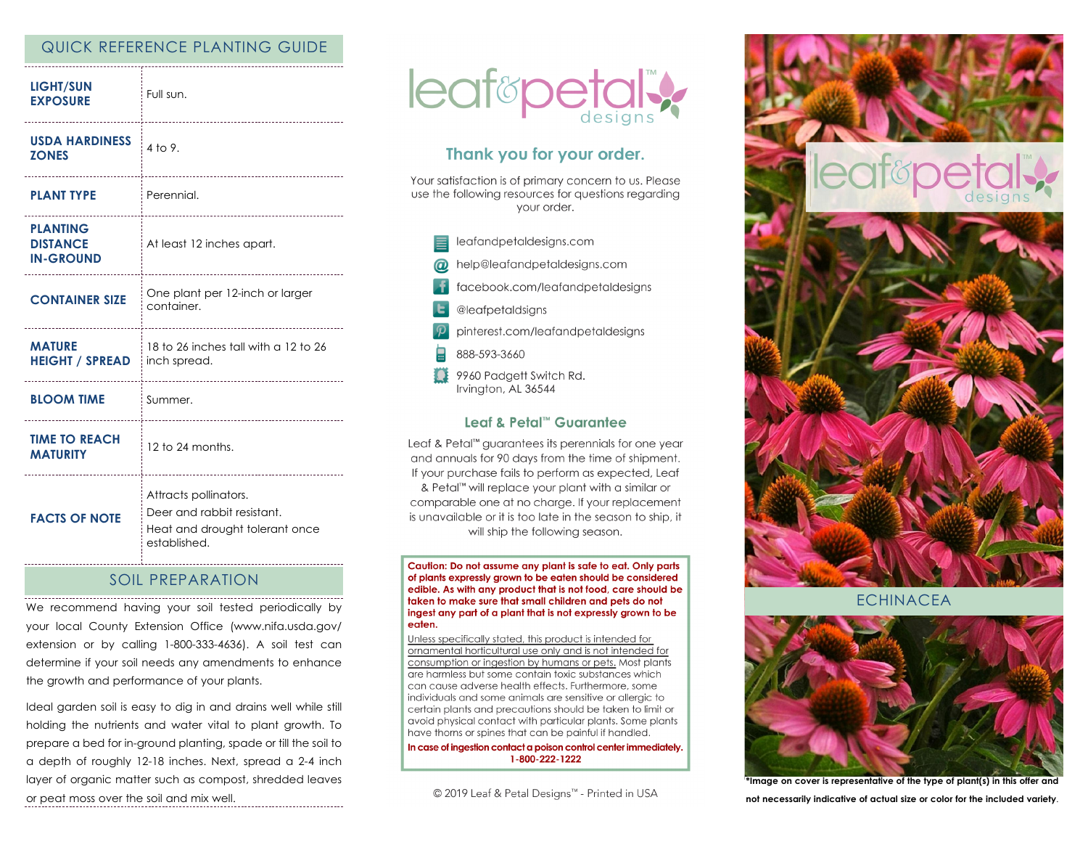### QUICK REFERENCE PLANTING GUIDE

| <b>LIGHT/SUN</b><br><b>EXPOSURE</b>                    | Full sun.<br>                                                                                         |
|--------------------------------------------------------|-------------------------------------------------------------------------------------------------------|
| <b>USDA HARDINESS</b><br><b>ZONES</b>                  | 4 to 9.<br>--------------------------                                                                 |
| <b>PLANT TYPE</b>                                      | Perennial.                                                                                            |
| <b>PLANTING</b><br><b>DISTANCE</b><br><b>IN-GROUND</b> | At least 12 inches apart.                                                                             |
| <b>CONTAINER SIZE</b>                                  | One plant per 12-inch or larger<br>container.<br>                                                     |
| <b>MATURE</b><br><b>HEIGHT / SPREAD</b>                | 18 to 26 inches tall with a 12 to 26<br>inch spread.                                                  |
| <b>BLOOM TIME</b>                                      | Summer.                                                                                               |
| <b>TIME TO REACH</b><br><b>MATURITY</b>                | 12 to 24 months.                                                                                      |
| <b>FACTS OF NOTE</b>                                   | Attracts pollinators.<br>Deer and rabbit resistant.<br>Heat and drought tolerant once<br>established. |

### SOIL PREPARATION

We recommend having your soil tested periodically by your local County Extension Office (www.nifa.usda.gov/ extension or by calling 1-800-333-4636). A soil test can determine if your soil needs any amendments to enhance the growth and performance of your plants.

Ideal garden soil is easy to dig in and drains well while still holding the nutrients and water vital to plant growth. To prepare a bed for in-ground planting, spade or till the soil to a depth of roughly 12-18 inches. Next, spread a 2-4 inch layer of organic matter such as compost, shredded leaves or peat moss over the soil and mix well.



# Thank you for your order.

Your satisfaction is of primary concern to us. Please use the following resources for questions regarding vour order.

leafandpetaldesigns.com help@leafandpetaldesigns.com facebook.com/leafandpetaldesigns @leafpetaldsigns pinterest.com/leafandpetaldesigns 888-593-3660 9960 Padgett Switch Rd. Irvington, AL 36544

#### Leaf & Petal™ Guarantee

Leaf & Petal<sup>™</sup> guarantees its perennials for one year and annuals for 90 days from the time of shipment. If your purchase fails to perform as expected, Leaf & Petal<sup>™</sup> will replace your plant with a similar or comparable one at no charge. If your replacement is unavailable or it is too late in the season to ship, it will ship the following season.

Caution: Do not assume any plant is safe to eat. Only parts of plants expressly grown to be eaten should be considered edible. As with any product that is not food, care should be taken to make sure that small children and pets do not ingest any part of a plant that is not expressly grown to be eaten.

Unless specifically stated, this product is intended for ornamental horticultural use only and is not intended for consumption or ingestion by humans or pets. Most plants are harmless but some contain toxic substances which can cause adverse health effects. Furthermore, some individuals and some animals are sensitive or allergic to certain plants and precautions should be taken to limit or avoid physical contact with particular plants. Some plants have thorns or spines that can be painful if handled.

In case of ingestion contact a poison control center immediately. 1-800-222-1222

© 2019 Leaf & Petal Designs™ - Printed in USA



ECHINACEA



**\*Image on cover is representative of the type of plant(s) in this offer and**

**not necessarily indicative of actual size or color for the included variety**.